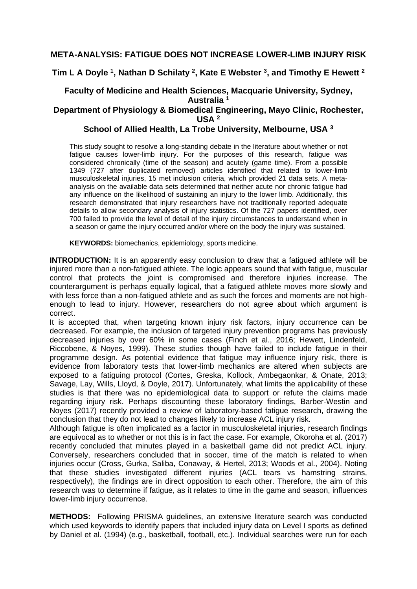# **META-ANALYSIS: FATIGUE DOES NOT INCREASE LOWER-LIMB INJURY RISK**

# **Tim L A Doyle 1, Nathan D Schilaty 2, Kate E Webster 3, and Timothy E Hewett <sup>2</sup>**

## **Faculty of Medicine and Health Sciences, Macquarie University, Sydney, Australia <sup>1</sup>**

## **Department of Physiology & Biomedical Engineering, Mayo Clinic, Rochester, USA <sup>2</sup>**

### **School of Allied Health, La Trobe University, Melbourne, USA <sup>3</sup>**

This study sought to resolve a long-standing debate in the literature about whether or not fatigue causes lower-limb injury. For the purposes of this research, fatigue was considered chronically (time of the season) and acutely (game time). From a possible 1349 (727 after duplicated removed) articles identified that related to lower-limb musculoskeletal injuries, 15 met inclusion criteria, which provided 21 data sets. A metaanalysis on the available data sets determined that neither acute nor chronic fatigue had any influence on the likelihood of sustaining an injury to the lower limb. Additionally, this research demonstrated that injury researchers have not traditionally reported adequate details to allow secondary analysis of injury statistics. Of the 727 papers identified, over 700 failed to provide the level of detail of the injury circumstances to understand when in a season or game the injury occurred and/or where on the body the injury was sustained.

**KEYWORDS:** biomechanics, epidemiology, sports medicine.

**INTRODUCTION:** It is an apparently easy conclusion to draw that a fatigued athlete will be injured more than a non-fatigued athlete. The logic appears sound that with fatigue, muscular control that protects the joint is compromised and therefore injuries increase. The counterargument is perhaps equally logical, that a fatigued athlete moves more slowly and with less force than a non-fatigued athlete and as such the forces and moments are not highenough to lead to injury. However, researchers do not agree about which argument is correct.

It is accepted that, when targeting known injury risk factors, injury occurrence can be decreased. For example, the inclusion of targeted injury prevention programs has previously decreased injuries by over 60% in some cases (Finch et al., 2016; Hewett, Lindenfeld, Riccobene, & Noyes, 1999). These studies though have failed to include fatigue in their programme design. As potential evidence that fatigue may influence injury risk, there is evidence from laboratory tests that lower-limb mechanics are altered when subjects are exposed to a fatiguing protocol (Cortes, Greska, Kollock, Ambegaonkar, & Onate, 2013; Savage, Lay, Wills, Lloyd, & Doyle, 2017). Unfortunately, what limits the applicability of these studies is that there was no epidemiological data to support or refute the claims made regarding injury risk. Perhaps discounting these laboratory findings, Barber-Westin and Noyes (2017) recently provided a review of laboratory-based fatigue research, drawing the conclusion that they do not lead to changes likely to increase ACL injury risk.

Although fatigue is often implicated as a factor in musculoskeletal injuries, research findings are equivocal as to whether or not this is in fact the case. For example, Okoroha et al. (2017) recently concluded that minutes played in a basketball game did not predict ACL injury. Conversely, researchers concluded that in soccer, time of the match is related to when injuries occur (Cross, Gurka, Saliba, Conaway, & Hertel, 2013; Woods et al., 2004). Noting that these studies investigated different injuries (ACL tears vs hamstring strains, respectively), the findings are in direct opposition to each other. Therefore, the aim of this research was to determine if fatigue, as it relates to time in the game and season, influences lower-limb injury occurrence.

**METHODS:** Following PRISMA guidelines, an extensive literature search was conducted which used keywords to identify papers that included injury data on Level I sports as defined by Daniel et al. (1994) (e.g., basketball, football, etc.). Individual searches were run for each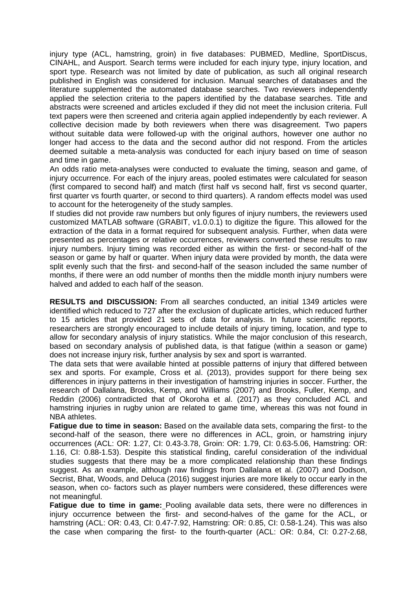injury type (ACL, hamstring, groin) in five databases: PUBMED, Medline, SportDiscus, CINAHL, and Ausport. Search terms were included for each injury type, injury location, and sport type. Research was not limited by date of publication, as such all original research published in English was considered for inclusion. Manual searches of databases and the literature supplemented the automated database searches. Two reviewers independently applied the selection criteria to the papers identified by the database searches. Title and abstracts were screened and articles excluded if they did not meet the inclusion criteria. Full text papers were then screened and criteria again applied independently by each reviewer. A collective decision made by both reviewers when there was disagreement. Two papers without suitable data were followed-up with the original authors, however one author no longer had access to the data and the second author did not respond. From the articles deemed suitable a meta-analysis was conducted for each injury based on time of season and time in game.

An odds ratio meta-analyses were conducted to evaluate the timing, season and game, of injury occurrence. For each of the injury areas, pooled estimates were calculated for season (first compared to second half) and match (first half vs second half, first vs second quarter, first quarter vs fourth quarter, or second to third quarters). A random effects model was used to account for the heterogeneity of the study samples.

If studies did not provide raw numbers but only figures of injury numbers, the reviewers used customized MATLAB software (GRABIT, v1.0.0.1) to digitize the figure. This allowed for the extraction of the data in a format required for subsequent analysis. Further, when data were presented as percentages or relative occurrences, reviewers converted these results to raw injury numbers. Injury timing was recorded either as within the first- or second-half of the season or game by half or quarter. When injury data were provided by month, the data were split evenly such that the first- and second-half of the season included the same number of months, if there were an odd number of months then the middle month injury numbers were halved and added to each half of the season.

**RESULTS and DISCUSSION:** From all searches conducted, an initial 1349 articles were identified which reduced to 727 after the exclusion of duplicate articles, which reduced further to 15 articles that provided 21 sets of data for analysis. In future scientific reports, researchers are strongly encouraged to include details of injury timing, location, and type to allow for secondary analysis of injury statistics. While the major conclusion of this research, based on secondary analysis of published data, is that fatigue (within a season or game) does not increase injury risk, further analysis by sex and sport is warranted.

The data sets that were available hinted at possible patterns of injury that differed between sex and sports. For example, Cross et al. (2013), provides support for there being sex differences in injury patterns in their investigation of hamstring injuries in soccer. Further, the research of Dallalana, Brooks, Kemp, and Williams (2007) and Brooks, Fuller, Kemp, and Reddin (2006) contradicted that of Okoroha et al. (2017) as they concluded ACL and hamstring injuries in rugby union are related to game time, whereas this was not found in NBA athletes.

**Fatigue due to time in season:** Based on the available data sets, comparing the first- to the second-half of the season, there were no differences in ACL, groin, or hamstring injury occurrences (ACL: OR: 1.27, CI: 0.43-3.78, Groin: OR: 1.79, CI: 0.63-5.06, Hamstring: OR: 1.16, CI: 0.88-1.53). Despite this statistical finding, careful consideration of the individual studies suggests that there may be a more complicated relationship than these findings suggest. As an example, although raw findings from Dallalana et al. (2007) and Dodson, Secrist, Bhat, Woods, and Deluca (2016) suggest injuries are more likely to occur early in the season, when co- factors such as player numbers were considered, these differences were not meaningful.

**Fatigue due to time in game:** Pooling available data sets, there were no differences in injury occurrence between the first- and second-halves of the game for the ACL, or hamstring (ACL: OR: 0.43, CI: 0.47-7.92, Hamstring: OR: 0.85, CI: 0.58-1.24). This was also the case when comparing the first- to the fourth-quarter (ACL: OR: 0.84, CI: 0.27-2.68,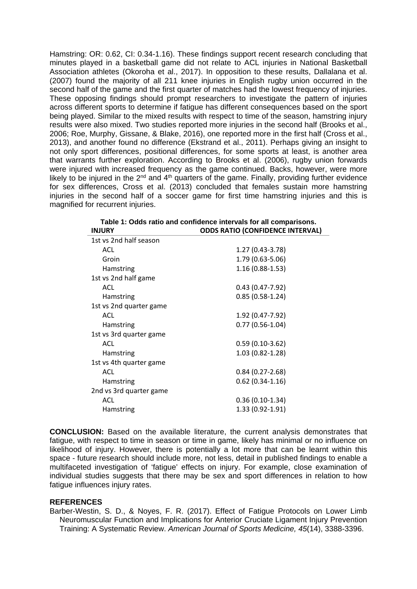Hamstring: OR: 0.62, CI: 0.34-1.16). These findings support recent research concluding that minutes played in a basketball game did not relate to ACL injuries in National Basketball Association athletes (Okoroha et al., 2017). In opposition to these results, Dallalana et al. (2007) found the majority of all 211 knee injuries in English rugby union occurred in the second half of the game and the first quarter of matches had the lowest frequency of injuries. These opposing findings should prompt researchers to investigate the pattern of injuries across different sports to determine if fatigue has different consequences based on the sport being played. Similar to the mixed results with respect to time of the season, hamstring injury results were also mixed. Two studies reported more injuries in the second half (Brooks et al., 2006; Roe, Murphy, Gissane, & Blake, 2016), one reported more in the first half (Cross et al., 2013), and another found no difference (Ekstrand et al., 2011). Perhaps giving an insight to not only sport differences, positional differences, for some sports at least, is another area that warrants further exploration. According to Brooks et al. (2006), rugby union forwards were injured with increased frequency as the game continued. Backs, however, were more likely to be injured in the  $2^{nd}$  and  $4^{th}$  quarters of the game. Finally, providing further evidence for sex differences, Cross et al. (2013) concluded that females sustain more hamstring injuries in the second half of a soccer game for first time hamstring injuries and this is magnified for recurrent injuries.

| 1st vs 2nd half season  |                     |
|-------------------------|---------------------|
| ACL                     | 1.27 (0.43-3.78)    |
| Groin                   | 1.79 (0.63-5.06)    |
| Hamstring               | 1.16 (0.88-1.53)    |
| 1st vs 2nd half game    |                     |
| ACL                     | $0.43(0.47 - 7.92)$ |
| Hamstring               | $0.85(0.58-1.24)$   |
| 1st vs 2nd quarter game |                     |
| <b>ACL</b>              | 1.92 (0.47-7.92)    |
| Hamstring               | $0.77(0.56-1.04)$   |
| 1st vs 3rd quarter game |                     |
| ACL                     | $0.59(0.10-3.62)$   |
| Hamstring               | 1.03 (0.82-1.28)    |
| 1st vs 4th quarter game |                     |
| <b>ACL</b>              | $0.84(0.27-2.68)$   |
| Hamstring               | $0.62$ (0.34-1.16)  |
| 2nd vs 3rd quarter game |                     |
| ACL                     | $0.36(0.10-1.34)$   |
| Hamstring               | 1.33 (0.92-1.91)    |
|                         |                     |

| Table 1: Odds ratio and confidence intervals for all comparisons. |                                         |
|-------------------------------------------------------------------|-----------------------------------------|
| INJURY                                                            | <b>ODDS RATIO (CONFIDENCE INTERVAL)</b> |
| .                                                                 |                                         |

**CONCLUSION:** Based on the available literature, the current analysis demonstrates that fatigue, with respect to time in season or time in game, likely has minimal or no influence on likelihood of injury. However, there is potentially a lot more that can be learnt within this space - future research should include more, not less, detail in published findings to enable a multifaceted investigation of 'fatigue' effects on injury. For example, close examination of individual studies suggests that there may be sex and sport differences in relation to how fatigue influences injury rates.

#### **REFERENCES**

Barber-Westin, S. D., & Noyes, F. R. (2017). Effect of Fatigue Protocols on Lower Limb Neuromuscular Function and Implications for Anterior Cruciate Ligament Injury Prevention Training: A Systematic Review. *American Journal of Sports Medicine, 45*(14), 3388-3396.